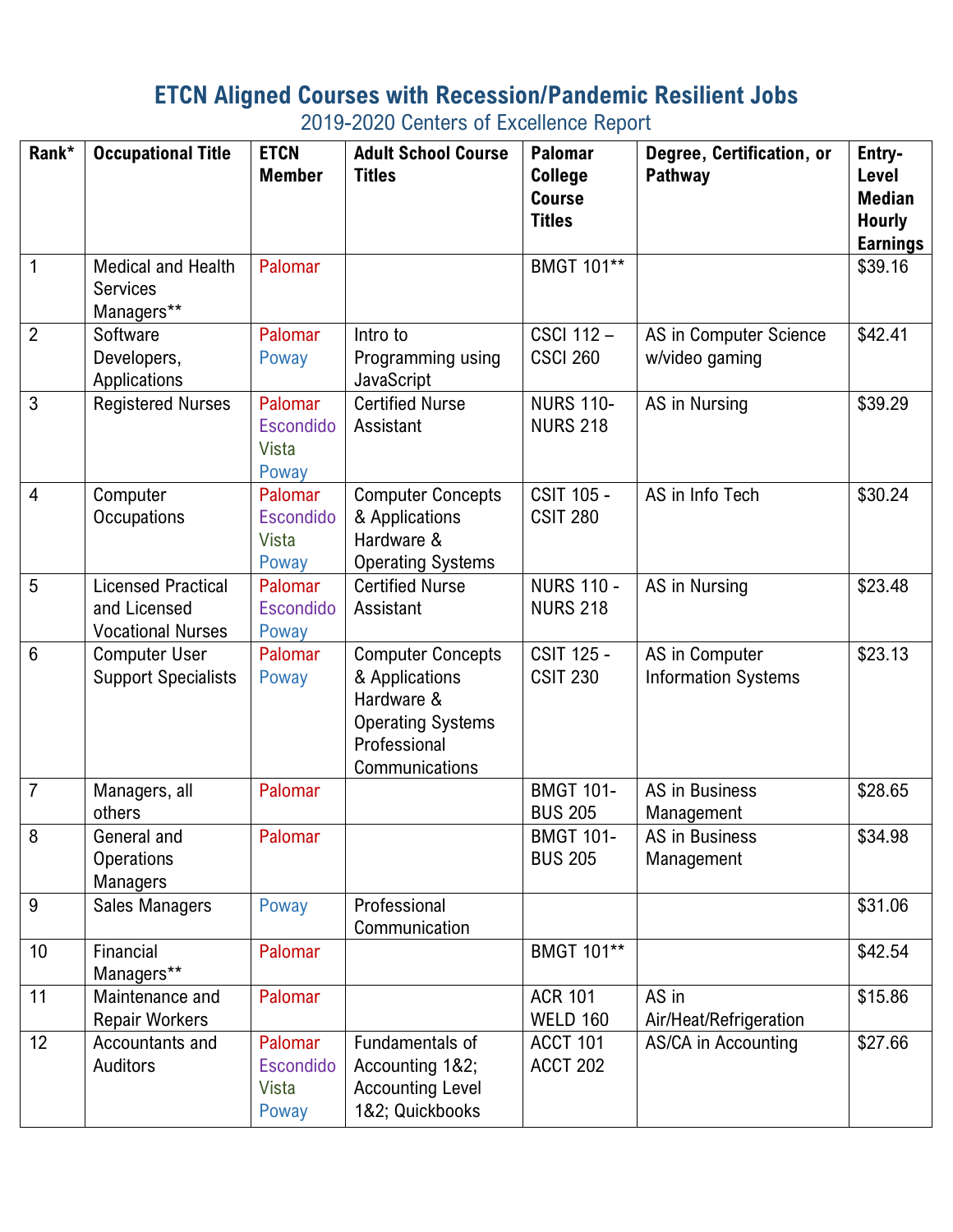## **ETCN Aligned Courses with Recession/Pandemic Resilient Jobs**

2019-2020 Centers of Excellence Report

| Rank*           | <b>Occupational Title</b>                                             | <b>ETCN</b><br><b>Member</b>                         | <b>Adult School Course</b><br><b>Titles</b>                                                                            | <b>Palomar</b><br><b>College</b><br><b>Course</b> | Degree, Certification, or<br><b>Pathway</b>  | Entry-<br>Level<br><b>Median</b> |
|-----------------|-----------------------------------------------------------------------|------------------------------------------------------|------------------------------------------------------------------------------------------------------------------------|---------------------------------------------------|----------------------------------------------|----------------------------------|
|                 |                                                                       |                                                      |                                                                                                                        | <b>Titles</b>                                     |                                              | <b>Hourly</b><br><b>Earnings</b> |
| $\overline{1}$  | Medical and Health<br><b>Services</b><br>Managers**                   | Palomar                                              |                                                                                                                        | BMGT 101**                                        |                                              | \$39.16                          |
| $\overline{2}$  | Software<br>Developers,<br>Applications                               | Palomar<br>Poway                                     | Intro to<br>Programming using<br>JavaScript                                                                            | <b>CSCI 112-</b><br><b>CSCI 260</b>               | AS in Computer Science<br>w/video gaming     | \$42.41                          |
| 3               | <b>Registered Nurses</b>                                              | Palomar<br><b>Escondido</b><br>Vista<br>Poway        | <b>Certified Nurse</b><br>Assistant                                                                                    | <b>NURS 110-</b><br><b>NURS 218</b>               | AS in Nursing                                | \$39.29                          |
| $\overline{4}$  | Computer<br>Occupations                                               | Palomar<br><b>Escondido</b><br><b>Vista</b><br>Poway | <b>Computer Concepts</b><br>& Applications<br>Hardware &<br><b>Operating Systems</b>                                   | <b>CSIT 105 -</b><br><b>CSIT 280</b>              | AS in Info Tech                              | \$30.24                          |
| 5               | <b>Licensed Practical</b><br>and Licensed<br><b>Vocational Nurses</b> | Palomar<br><b>Escondido</b><br>Poway                 | <b>Certified Nurse</b><br>Assistant                                                                                    | <b>NURS 110 -</b><br><b>NURS 218</b>              | AS in Nursing                                | \$23.48                          |
| $6\phantom{1}6$ | <b>Computer User</b><br><b>Support Specialists</b>                    | Palomar<br>Poway                                     | <b>Computer Concepts</b><br>& Applications<br>Hardware &<br><b>Operating Systems</b><br>Professional<br>Communications | <b>CSIT 125 -</b><br><b>CSIT 230</b>              | AS in Computer<br><b>Information Systems</b> | \$23.13                          |
| $\overline{7}$  | Managers, all<br>others                                               | Palomar                                              |                                                                                                                        | <b>BMGT 101-</b><br><b>BUS 205</b>                | AS in Business<br>Management                 | \$28.65                          |
| 8               | General and<br><b>Operations</b><br>Managers                          | Palomar                                              |                                                                                                                        | <b>BMGT 101-</b><br><b>BUS 205</b>                | AS in Business<br>Management                 | \$34.98                          |
| 9               | Sales Managers                                                        | Poway                                                | Professional<br>Communication                                                                                          |                                                   |                                              | \$31.06                          |
| 10              | Financial<br>Managers**                                               | Palomar                                              |                                                                                                                        | <b>BMGT 101**</b>                                 |                                              | \$42.54                          |
| 11              | Maintenance and<br><b>Repair Workers</b>                              | Palomar                                              |                                                                                                                        | <b>ACR 101</b><br><b>WELD 160</b>                 | AS in<br>Air/Heat/Refrigeration              | \$15.86                          |
| 12              | Accountants and<br>Auditors                                           | Palomar<br><b>Escondido</b><br>Vista<br>Poway        | Fundamentals of<br>Accounting 1&2;<br><b>Accounting Level</b><br>1&2; Quickbooks                                       | <b>ACCT 101</b><br><b>ACCT 202</b>                | AS/CA in Accounting                          | \$27.66                          |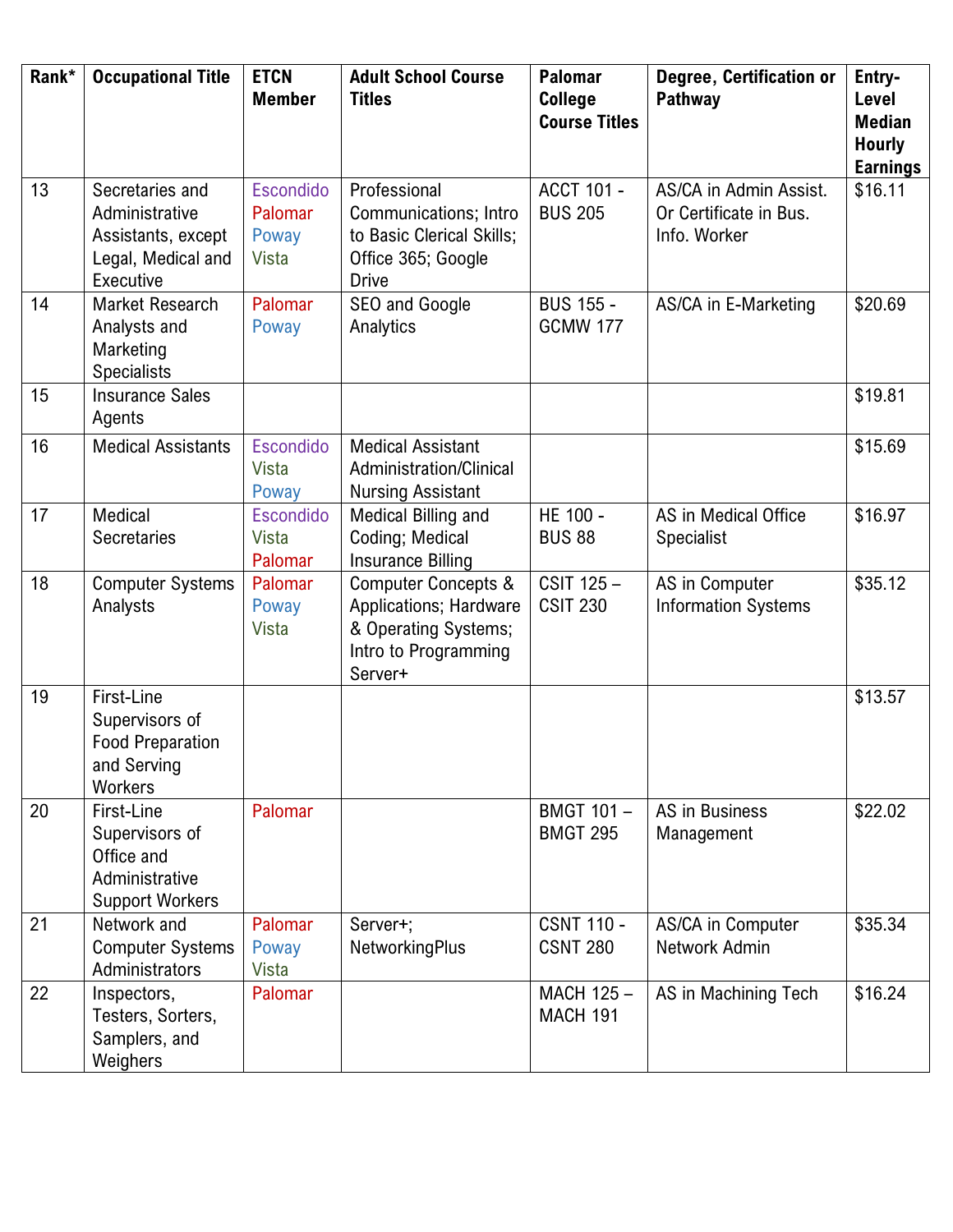| Rank* | <b>Occupational Title</b>                                                                  | <b>ETCN</b><br><b>Member</b>           | <b>Adult School Course</b><br><b>Titles</b>                                                                                | <b>Palomar</b><br>College<br><b>Course Titles</b> | Degree, Certification or<br>Pathway                              | Entry-<br>Level<br><b>Median</b><br><b>Hourly</b><br><b>Earnings</b> |
|-------|--------------------------------------------------------------------------------------------|----------------------------------------|----------------------------------------------------------------------------------------------------------------------------|---------------------------------------------------|------------------------------------------------------------------|----------------------------------------------------------------------|
| 13    | Secretaries and<br>Administrative<br>Assistants, except<br>Legal, Medical and<br>Executive | Escondido<br>Palomar<br>Poway<br>Vista | Professional<br>Communications; Intro<br>to Basic Clerical Skills;<br>Office 365; Google<br><b>Drive</b>                   | <b>ACCT 101 -</b><br><b>BUS 205</b>               | AS/CA in Admin Assist.<br>Or Certificate in Bus.<br>Info. Worker | \$16.11                                                              |
| 14    | Market Research<br>Analysts and<br>Marketing<br><b>Specialists</b>                         | Palomar<br>Poway                       | SEO and Google<br>Analytics                                                                                                | <b>BUS 155 -</b><br><b>GCMW 177</b>               | AS/CA in E-Marketing                                             | \$20.69                                                              |
| 15    | <b>Insurance Sales</b><br>Agents                                                           |                                        |                                                                                                                            |                                                   |                                                                  | \$19.81                                                              |
| 16    | <b>Medical Assistants</b>                                                                  | Escondido<br><b>Vista</b><br>Poway     | <b>Medical Assistant</b><br>Administration/Clinical<br><b>Nursing Assistant</b>                                            |                                                   |                                                                  | \$15.69                                                              |
| 17    | Medical<br>Secretaries                                                                     | <b>Escondido</b><br>Vista<br>Palomar   | Medical Billing and<br>Coding; Medical<br><b>Insurance Billing</b>                                                         | HE 100 -<br><b>BUS 88</b>                         | AS in Medical Office<br><b>Specialist</b>                        | \$16.97                                                              |
| 18    | <b>Computer Systems</b><br>Analysts                                                        | Palomar<br>Poway<br>Vista              | <b>Computer Concepts &amp;</b><br><b>Applications; Hardware</b><br>& Operating Systems;<br>Intro to Programming<br>Server+ | CSIT 125-<br><b>CSIT 230</b>                      | AS in Computer<br><b>Information Systems</b>                     | \$35.12                                                              |
| 19    | First-Line<br>Supervisors of<br><b>Food Preparation</b><br>and Serving<br>Workers          |                                        |                                                                                                                            |                                                   |                                                                  | \$13.57                                                              |
| 20    | First-Line<br>Supervisors of<br>Office and<br>Administrative<br><b>Support Workers</b>     | Palomar                                |                                                                                                                            | BMGT 101-<br><b>BMGT 295</b>                      | AS in Business<br>Management                                     | \$22.02                                                              |
| 21    | Network and<br><b>Computer Systems</b><br>Administrators                                   | Palomar<br>Poway<br><b>Vista</b>       | Server+;<br><b>NetworkingPlus</b>                                                                                          | <b>CSNT 110 -</b><br><b>CSNT 280</b>              | AS/CA in Computer<br>Network Admin                               | \$35.34                                                              |
| 22    | Inspectors,<br>Testers, Sorters,<br>Samplers, and<br>Weighers                              | Palomar                                |                                                                                                                            | MACH 125-<br><b>MACH 191</b>                      | AS in Machining Tech                                             | \$16.24                                                              |